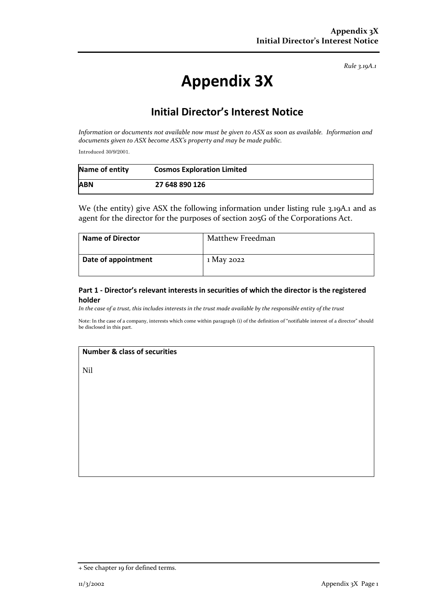*Rule 3.19A.1*

# **Appendix 3X**

## **Initial Director's Interest Notice**

*Information or documents not available now must be given to ASX as soon as available. Information and documents given to ASX become ASX's property and may be made public.*

Introduced 30/9/2001.

| Name of entity | <b>Cosmos Exploration Limited</b> |
|----------------|-----------------------------------|
| <b>ABN</b>     | 27 648 890 126                    |

We (the entity) give ASX the following information under listing rule 3.19A.1 and as agent for the director for the purposes of section 205G of the Corporations Act.

| <b>Name of Director</b> | Matthew Freedman |
|-------------------------|------------------|
| Date of appointment     | 1 May 2022       |

#### **Part 1 - Director's relevant interests in securities of which the director is the registered holder**

*In the case of a trust, this includes interests in the trust made available by the responsible entity of the trust*

Note: In the case of a company, interests which come within paragraph (i) of the definition of "notifiable interest of a director" should be disclosed in this part.

#### **Number & class of securities**

Nil

<sup>+</sup> See chapter 19 for defined terms.